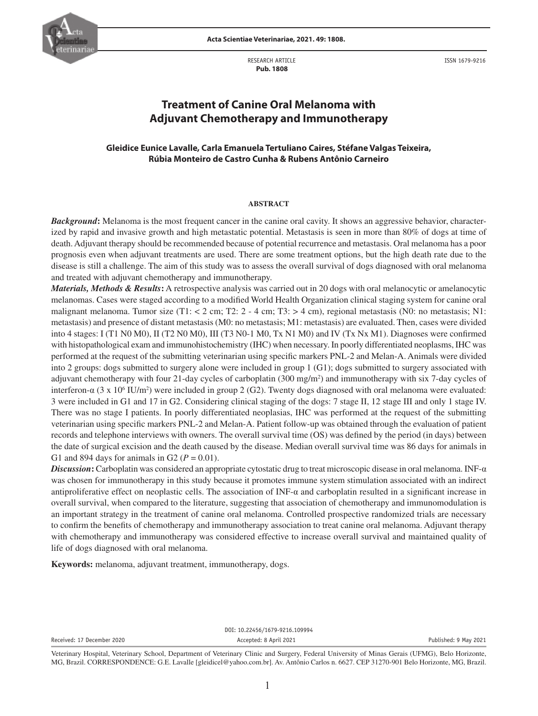

**Acta Scientiae Veterinariae, 2021. 49: 1808.**

RESEARCH ARTICLE  **Pub. 1808**

ISSN 1679-9216

# **Treatment of Canine Oral Melanoma with Adjuvant Chemotherapy and Immunotherapy**

# **Gleidice Eunice Lavalle, Carla Emanuela Tertuliano Caires, Stéfane Valgas Teixeira, Rúbia Monteiro de Castro Cunha & Rubens Antônio Carneiro**

#### **ABSTRACT**

*Background*: Melanoma is the most frequent cancer in the canine oral cavity. It shows an aggressive behavior, characterized by rapid and invasive growth and high metastatic potential. Metastasis is seen in more than 80% of dogs at time of death. Adjuvant therapy should be recommended because of potential recurrence and metastasis. Oral melanoma has a poor prognosis even when adjuvant treatments are used. There are some treatment options, but the high death rate due to the disease is still a challenge. The aim of this study was to assess the overall survival of dogs diagnosed with oral melanoma and treated with adjuvant chemotherapy and immunotherapy.

*Materials, Methods & Results***:** A retrospective analysis was carried out in 20 dogs with oral melanocytic or amelanocytic melanomas. Cases were staged according to a modified World Health Organization clinical staging system for canine oral malignant melanoma. Tumor size (T1:  $< 2$  cm; T2:  $2 - 4$  cm; T3:  $> 4$  cm), regional metastasis (N0: no metastasis; N1: metastasis) and presence of distant metastasis (M0: no metastasis; M1: metastasis) are evaluated. Then, cases were divided into 4 stages: I (T1 N0 M0), II (T2 N0 M0), III (T3 N0-1 M0, Tx N1 M0) and IV (Tx Nx M1). Diagnoses were confirmed with histopathological exam and immunohistochemistry (IHC) when necessary. In poorly differentiated neoplasms, IHC was performed at the request of the submitting veterinarian using specific markers PNL-2 and Melan-A. Animals were divided into 2 groups: dogs submitted to surgery alone were included in group 1 (G1); dogs submitted to surgery associated with adjuvant chemotherapy with four 21-day cycles of carboplatin (300 mg/m<sup>2</sup>) and immunotherapy with six 7-day cycles of interferon-α (3 x 10<sup>6</sup> IU/m<sup>2</sup>) were included in group 2 (G2). Twenty dogs diagnosed with oral melanoma were evaluated: 3 were included in G1 and 17 in G2. Considering clinical staging of the dogs: 7 stage II, 12 stage III and only 1 stage IV. There was no stage I patients. In poorly differentiated neoplasias, IHC was performed at the request of the submitting veterinarian using specific markers PNL-2 and Melan-A. Patient follow-up was obtained through the evaluation of patient records and telephone interviews with owners. The overall survival time (OS) was defined by the period (in days) between the date of surgical excision and the death caused by the disease. Median overall survival time was 86 days for animals in G1 and 894 days for animals in G2 ( $P = 0.01$ ).

*Discussion***:** Carboplatin was considered an appropriate cytostatic drug to treat microscopic disease in oral melanoma. INF-α was chosen for immunotherapy in this study because it promotes immune system stimulation associated with an indirect antiproliferative effect on neoplastic cells. The association of  $INF-\alpha$  and carboplatin resulted in a significant increase in overall survival, when compared to the literature, suggesting that association of chemotherapy and immunomodulation is an important strategy in the treatment of canine oral melanoma. Controlled prospective randomized trials are necessary to confirm the benefits of chemotherapy and immunotherapy association to treat canine oral melanoma. Adjuvant therapy with chemotherapy and immunotherapy was considered effective to increase overall survival and maintained quality of life of dogs diagnosed with oral melanoma.

**Keywords:** melanoma, adjuvant treatment, immunotherapy, dogs.

DOI: 10.22456/1679-9216.109994

Received: 17 December 2020 **Accepted: 9 Accepted: 8 April 2021 Accepted: 9 April 2021** Published: 9 May 2021

Veterinary Hospital, Veterinary School, Department of Veterinary Clinic and Surgery, Federal University of Minas Gerais (UFMG), Belo Horizonte, MG, Brazil. CORRESPONDENCE: G.E. Lavalle [gleidicel@yahoo.com.br]. Av. Antônio Carlos n. 6627. CEP 31270-901 Belo Horizonte, MG, Brazil.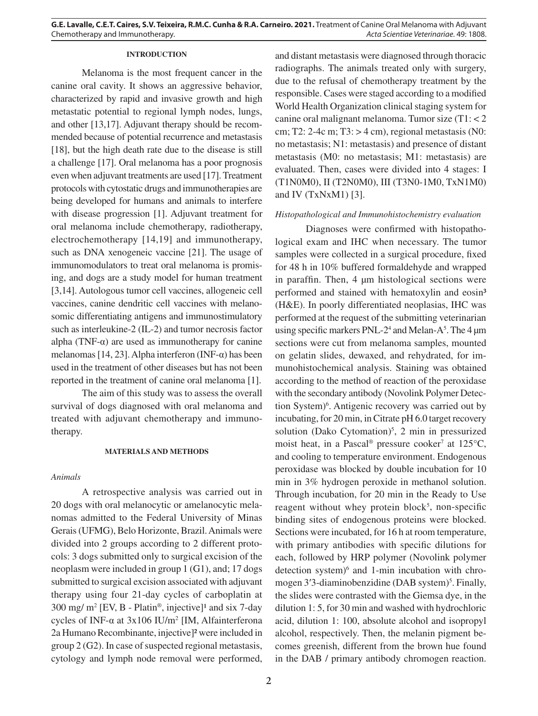# **INTRODUCTION**

Melanoma is the most frequent cancer in the canine oral cavity. It shows an aggressive behavior, characterized by rapid and invasive growth and high metastatic potential to regional lymph nodes, lungs, and other [13,17]. Adjuvant therapy should be recommended because of potential recurrence and metastasis [18], but the high death rate due to the disease is still a challenge [17]. Oral melanoma has a poor prognosis even when adjuvant treatments are used [17]. Treatment protocols with cytostatic drugs and immunotherapies are being developed for humans and animals to interfere with disease progression [1]. Adjuvant treatment for oral melanoma include chemotherapy, radiotherapy, electrochemotherapy [14,19] and immunotherapy, such as DNA xenogeneic vaccine [21]. The usage of immunomodulators to treat oral melanoma is promising, and dogs are a study model for human treatment [3,14]. Autologous tumor cell vaccines, allogeneic cell vaccines, canine dendritic cell vaccines with melanosomic differentiating antigens and immunostimulatory such as interleukine-2 (IL-2) and tumor necrosis factor alpha (TNF- $\alpha$ ) are used as immunotherapy for canine melanomas [14, 23]. Alpha interferon (INF-α) has been used in the treatment of other diseases but has not been reported in the treatment of canine oral melanoma [1].

The aim of this study was to assess the overall survival of dogs diagnosed with oral melanoma and treated with adjuvant chemotherapy and immunotherapy.

#### **MATERIALS AND METHODS**

#### *Animals*

A retrospective analysis was carried out in 20 dogs with oral melanocytic or amelanocytic melanomas admitted to the Federal University of Minas Gerais (UFMG), Belo Horizonte, Brazil. Animals were divided into 2 groups according to 2 different protocols: 3 dogs submitted only to surgical excision of the neoplasm were included in group 1 (G1), and; 17 dogs submitted to surgical excision associated with adjuvant therapy using four 21-day cycles of carboplatin at 300 mg/  $m^2$  [EV, B - Platin<sup>®</sup>, injective]<sup>1</sup> and six 7-day cycles of INF-α at 3x106 IU/m2 [IM, Alfainterferona 2a Humano Recombinante, injective]² were included in group 2 (G2). In case of suspected regional metastasis, cytology and lymph node removal were performed,

and distant metastasis were diagnosed through thoracic radiographs. The animals treated only with surgery, due to the refusal of chemotherapy treatment by the responsible. Cases were staged according to a modified World Health Organization clinical staging system for canine oral malignant melanoma. Tumor size (T1: < 2 cm; T2: 2-4c m; T3:  $> 4$  cm), regional metastasis (N0: no metastasis; N1: metastasis) and presence of distant metastasis (M0: no metastasis; M1: metastasis) are evaluated. Then, cases were divided into 4 stages: I (T1N0M0), II (T2N0M0), III (T3N0-1M0, TxN1M0) and IV (TxNxM1) [3].

## *Histopathological and Immunohistochemistry evaluation*

Diagnoses were confirmed with histopathological exam and IHC when necessary. The tumor samples were collected in a surgical procedure, fixed for 48 h in 10% buffered formaldehyde and wrapped in paraffin. Then, 4 μm histological sections were performed and stained with hematoxylin and eosin<sup>3</sup> (H&E). In poorly differentiated neoplasias, IHC was performed at the request of the submitting veterinarian using specific markers  $PNL-2<sup>4</sup>$  and Melan-A<sup>5</sup>. The 4  $\mu$ m sections were cut from melanoma samples, mounted on gelatin slides, dewaxed, and rehydrated, for immunohistochemical analysis. Staining was obtained according to the method of reaction of the peroxidase with the secondary antibody (Novolink Polymer Detection System)<sup>6</sup>. Antigenic recovery was carried out by incubating, for 20 min, in Citrate pH 6.0 target recovery solution (Dako Cytomation)<sup>5</sup>, 2 min in pressurized moist heat, in a Pascal<sup>®</sup> pressure cooker<sup>7</sup> at 125 $\rm{^{\circ}C}$ , and cooling to temperature environment. Endogenous peroxidase was blocked by double incubation for 10 min in 3% hydrogen peroxide in methanol solution. Through incubation, for 20 min in the Ready to Use reagent without whey protein block<sup>5</sup>, non-specific binding sites of endogenous proteins were blocked. Sections were incubated, for 16 h at room temperature, with primary antibodies with specific dilutions for each, followed by HRP polymer (Novolink polymer detection system)<sup>6</sup> and 1-min incubation with chromogen 3'3-diaminobenzidine (DAB system)<sup>5</sup>. Finally, the slides were contrasted with the Giemsa dye, in the dilution 1: 5, for 30 min and washed with hydrochloric acid, dilution 1: 100, absolute alcohol and isopropyl alcohol, respectively. Then, the melanin pigment becomes greenish, different from the brown hue found in the DAB / primary antibody chromogen reaction.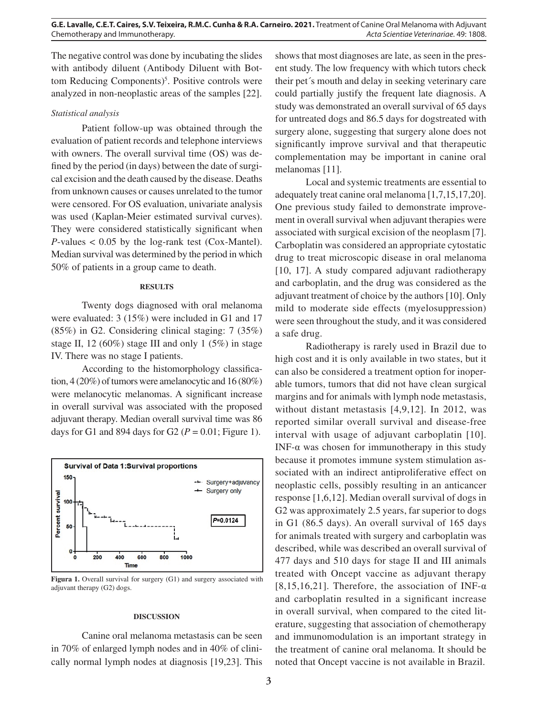The negative control was done by incubating the slides with antibody diluent (Antibody Diluent with Bottom Reducing Components)<sup>5</sup>. Positive controls were analyzed in non-neoplastic areas of the samples [22].

## *Statistical analysis*

Patient follow-up was obtained through the evaluation of patient records and telephone interviews with owners. The overall survival time (OS) was defined by the period (in days) between the date of surgical excision and the death caused by the disease. Deaths from unknown causes or causes unrelated to the tumor were censored. For OS evaluation, univariate analysis was used (Kaplan-Meier estimated survival curves). They were considered statistically significant when  $P$ -values  $< 0.05$  by the log-rank test (Cox-Mantel). Median survival was determined by the period in which 50% of patients in a group came to death.

#### **RESULTS**

Twenty dogs diagnosed with oral melanoma were evaluated: 3 (15%) were included in G1 and 17 (85%) in G2. Considering clinical staging: 7 (35%) stage II, 12 (60%) stage III and only 1 (5%) in stage IV. There was no stage I patients.

According to the histomorphology classification, 4 (20%) of tumors were amelanocytic and 16 (80%) were melanocytic melanomas. A significant increase in overall survival was associated with the proposed adjuvant therapy. Median overall survival time was 86 days for G1 and 894 days for G2 ( $P = 0.01$ ; Figure 1).



Figura 1. Overall survival for surgery (G1) and surgery associated with adjuvant therapy (G2) dogs.

#### **DISCUSSION**

Canine oral melanoma metastasis can be seen in 70% of enlarged lymph nodes and in 40% of clinically normal lymph nodes at diagnosis [19,23]. This shows that most diagnoses are late, as seen in the present study. The low frequency with which tutors check their pet´s mouth and delay in seeking veterinary care could partially justify the frequent late diagnosis. A study was demonstrated an overall survival of 65 days for untreated dogs and 86.5 days for dogstreated with surgery alone, suggesting that surgery alone does not significantly improve survival and that therapeutic complementation may be important in canine oral melanomas [11].

Local and systemic treatments are essential to adequately treat canine oral melanoma [1,7,15,17,20]. One previous study failed to demonstrate improvement in overall survival when adjuvant therapies were associated with surgical excision of the neoplasm [7]. Carboplatin was considered an appropriate cytostatic drug to treat microscopic disease in oral melanoma [10, 17]. A study compared adjuvant radiotherapy and carboplatin, and the drug was considered as the adjuvant treatment of choice by the authors [10]. Only mild to moderate side effects (myelosuppression) were seen throughout the study, and it was considered a safe drug.

Radiotherapy is rarely used in Brazil due to high cost and it is only available in two states, but it can also be considered a treatment option for inoperable tumors, tumors that did not have clean surgical margins and for animals with lymph node metastasis, without distant metastasis [4,9,12]. In 2012, was reported similar overall survival and disease-free interval with usage of adjuvant carboplatin [10]. INF- $\alpha$  was chosen for immunotherapy in this study because it promotes immune system stimulation associated with an indirect antiproliferative effect on neoplastic cells, possibly resulting in an anticancer response [1,6,12]. Median overall survival of dogs in G2 was approximately 2.5 years, far superior to dogs in G1 (86.5 days). An overall survival of 165 days for animals treated with surgery and carboplatin was described, while was described an overall survival of 477 days and 510 days for stage II and III animals treated with Oncept vaccine as adjuvant therapy [8,15,16,21]. Therefore, the association of INF- $\alpha$ and carboplatin resulted in a significant increase in overall survival, when compared to the cited literature, suggesting that association of chemotherapy and immunomodulation is an important strategy in the treatment of canine oral melanoma. It should be noted that Oncept vaccine is not available in Brazil.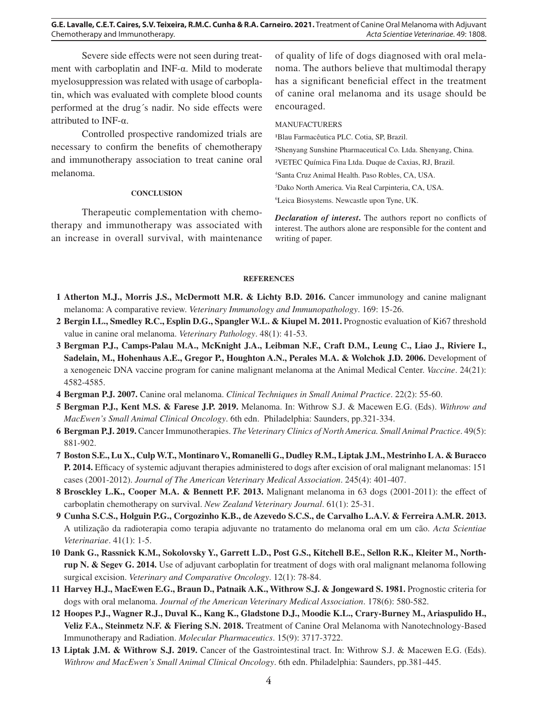**G.E. Lavalle, C.E.T. Caires, S.V. Teixeira, R.M.C. Cunha & R.A. Carneiro. 2021.** Treatment of Canine Oral Melanoma with Adjuvant Chemotherapy and Immunotherapy. *Acta Scientiae Veterinariae*. 49: 1808.

Severe side effects were not seen during treatment with carboplatin and INF-α. Mild to moderate myelosuppression was related with usage of carboplatin, which was evaluated with complete blood counts performed at the drug´s nadir. No side effects were attributed to INF- $\alpha$ .

Controlled prospective randomized trials are necessary to confirm the benefits of chemotherapy and immunotherapy association to treat canine oral melanoma.

## **CONCLUSION**

Therapeutic complementation with chemotherapy and immunotherapy was associated with an increase in overall survival, with maintenance

of quality of life of dogs diagnosed with oral melanoma. The authors believe that multimodal therapy has a significant beneficial effect in the treatment of canine oral melanoma and its usage should be encouraged.

# MANUFACTURERS

<sup>1</sup>Blau Farmacêutica PLC. Cotia, SP, Brazil. ²Shenyang Sunshine Pharmaceutical Co. Ltda. Shenyang, China. ³VETEC Química Fina Ltda. Duque de Caxias, RJ, Brazil. 4 Santa Cruz Animal Health. Paso Robles, CA, USA. 5 Dako North America. Via Real Carpinteria, CA, USA. 6 Leica Biosystems. Newcastle upon Tyne, UK.

*Declaration of interest***.** The authors report no conflicts of interest. The authors alone are responsible for the content and writing of paper.

#### **REFERENCES**

- **1 Atherton M.J., Morris J.S., McDermott M.R. & Lichty B.D. 2016.** Cancer immunology and canine malignant melanoma: A comparative review. *Veterinary Immunology and Immunopathology*. 169: 15-26.
- **2 Bergin I.L., Smedley R.C., Esplin D.G., Spangler W.L. & Kiupel M. 2011.** Prognostic evaluation of Ki67 threshold value in canine oral melanoma. *Veterinary Pathology*. 48(1): 41-53.
- **3 Bergman P.J., Camps-Palau M.A., McKnight J.A., Leibman N.F., Craft D.M., Leung C., Liao J., Riviere I.,**  Sadelain, M., Hohenhaus A.E., Gregor P., Houghton A.N., Perales M.A. & Wolchok J.D. 2006. Development of a xenogeneic DNA vaccine program for canine malignant melanoma at the Animal Medical Center. *Vaccine*. 24(21): 4582-4585.
- **4 Bergman P.J. 2007.** Canine oral melanoma. *Clinical Techniques in Small Animal Practice*. 22(2): 55-60.
- **5 Bergman P.J., Kent M.S. & Farese J.P. 2019.** Melanoma. In: Withrow S.J. & Macewen E.G. (Eds). *Withrow and MacEwen's Small Animal Clinical Oncology*. 6th edn. Philadelphia: Saunders, pp.321-334.
- **6 Bergman P.J. 2019.** Cancer Immunotherapies. *The Veterinary Clinics of North America. Small Animal Practice*. 49(5): 881-902.
- **7 Boston S.E., Lu X., Culp W.T., Montinaro V., Romanelli G., Dudley R.M., Liptak J.M., Mestrinho L A. & Buracco P. 2014.** Efficacy of systemic adjuvant therapies administered to dogs after excision of oral malignant melanomas: 151 cases (2001-2012). *Journal of The American Veterinary Medical Association*. 245(4): 401-407.
- **8 Brosckley L.K., Cooper M.A. & Bennett P.F. 2013.** Malignant melanoma in 63 dogs (2001-2011): the effect of carboplatin chemotherapy on survival. *New Zealand Veterinary Journal*. 61(1): 25-31.
- **9 Cunha S.C.S., Holguin P.G., Corgozinho K.B., de Azevedo S.C.S., de Carvalho L.A.V. & Ferreira A.M.R. 2013.** A utilização da radioterapia como terapia adjuvante no tratamento do melanoma oral em um cão. *Acta Scientiae Veterinariae*. 41(1): 1-5.
- **10 Dank G., Rassnick K.M., Sokolovsky Y., Garrett L.D., Post G.S., Kitchell B.E., Sellon R.K., Kleiter M., Northrup N. & Segev G. 2014.** Use of adjuvant carboplatin for treatment of dogs with oral malignant melanoma following surgical excision. *Veterinary and Comparative Oncology*. 12(1): 78-84.
- **11 Harvey H.J., MacEwen E.G., Braun D., Patnaik A.K., Withrow S.J. & Jongeward S. 1981.** Prognostic criteria for dogs with oral melanoma. *Journal of the American Veterinary Medical Association*. 178(6): 580-582.
- **12 Hoopes P.J., Wagner R.J., Duval K., Kang K., Gladstone D.J., Moodie K.L., Crary-Burney M., Ariaspulido H., Veliz F.A., Steinmetz N.F. & Fiering S.N. 2018.** Treatment of Canine Oral Melanoma with Nanotechnology-Based Immunotherapy and Radiation. *Molecular Pharmaceutics*. 15(9): 3717-3722.
- **13 Liptak J.M. & Withrow S.J. 2019.** Cancer of the Gastrointestinal tract. In: Withrow S.J. & Macewen E.G. (Eds). *Withrow and MacEwen's Small Animal Clinical Oncology*. 6th edn. Philadelphia: Saunders, pp.381-445.